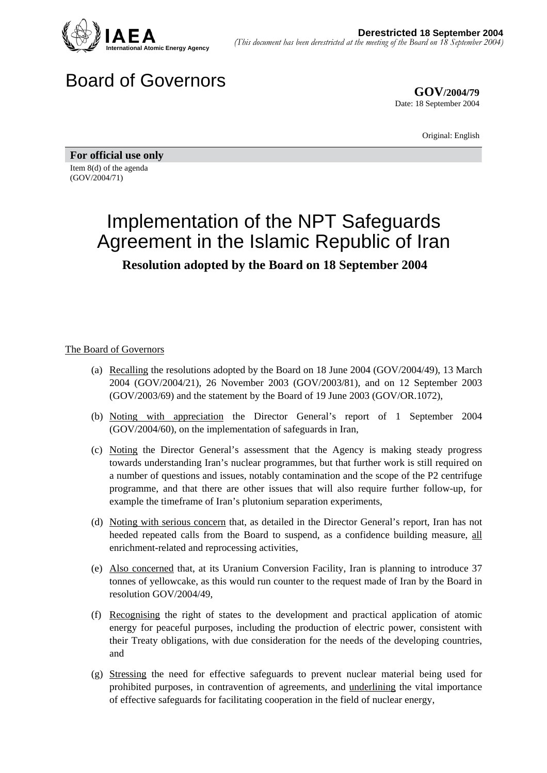

## Board of Governors

**GOV/2004/79** Date: 18 September 2004

Original: English

**For official use only**  Item 8(d) of the agenda (GOV/2004/71)

## Implementation of the NPT Safeguards Agreement in the Islamic Republic of Iran **Resolution adopted by the Board on 18 September 2004**

## The Board of Governors

- (a) Recalling the resolutions adopted by the Board on 18 June 2004 (GOV/2004/49), 13 March 2004 (GOV/2004/21), 26 November 2003 (GOV/2003/81), and on 12 September 2003 (GOV/2003/69) and the statement by the Board of 19 June 2003 (GOV/OR.1072),
- (b) Noting with appreciation the Director General's report of 1 September 2004 (GOV/2004/60), on the implementation of safeguards in Iran,
- (c) Noting the Director General's assessment that the Agency is making steady progress towards understanding Iran's nuclear programmes, but that further work is still required on a number of questions and issues, notably contamination and the scope of the P2 centrifuge programme, and that there are other issues that will also require further follow-up, for example the timeframe of Iran's plutonium separation experiments,
- (d) Noting with serious concern that, as detailed in the Director General's report, Iran has not heeded repeated calls from the Board to suspend, as a confidence building measure, all enrichment-related and reprocessing activities,
- (e) Also concerned that, at its Uranium Conversion Facility, Iran is planning to introduce 37 tonnes of yellowcake, as this would run counter to the request made of Iran by the Board in resolution GOV/2004/49,
- (f) Recognising the right of states to the development and practical application of atomic energy for peaceful purposes, including the production of electric power, consistent with their Treaty obligations, with due consideration for the needs of the developing countries, and
- (g) Stressing the need for effective safeguards to prevent nuclear material being used for prohibited purposes, in contravention of agreements, and underlining the vital importance of effective safeguards for facilitating cooperation in the field of nuclear energy,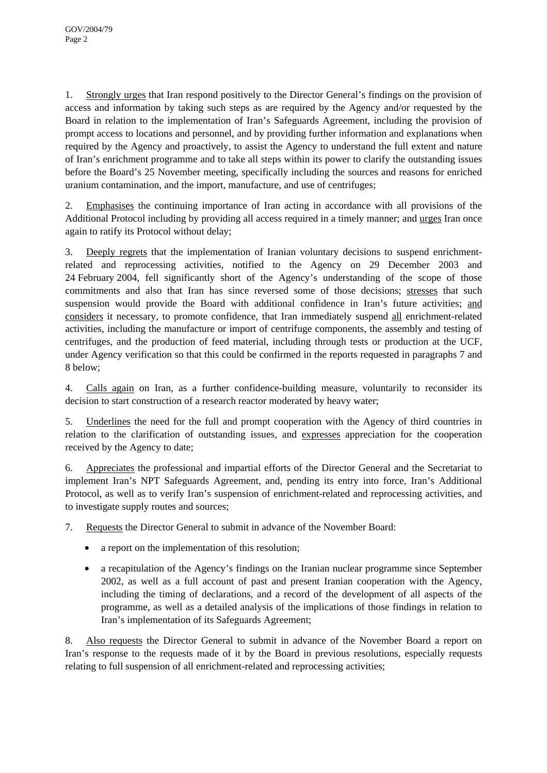1. Strongly urges that Iran respond positively to the Director General's findings on the provision of access and information by taking such steps as are required by the Agency and/or requested by the Board in relation to the implementation of Iran's Safeguards Agreement, including the provision of prompt access to locations and personnel, and by providing further information and explanations when required by the Agency and proactively, to assist the Agency to understand the full extent and nature of Iran's enrichment programme and to take all steps within its power to clarify the outstanding issues before the Board's 25 November meeting, specifically including the sources and reasons for enriched uranium contamination, and the import, manufacture, and use of centrifuges;

2. Emphasises the continuing importance of Iran acting in accordance with all provisions of the Additional Protocol including by providing all access required in a timely manner; and urges Iran once again to ratify its Protocol without delay;

3. Deeply regrets that the implementation of Iranian voluntary decisions to suspend enrichmentrelated and reprocessing activities, notified to the Agency on 29 December 2003 and 24 February 2004, fell significantly short of the Agency's understanding of the scope of those commitments and also that Iran has since reversed some of those decisions; stresses that such suspension would provide the Board with additional confidence in Iran's future activities; and considers it necessary, to promote confidence, that Iran immediately suspend all enrichment-related activities, including the manufacture or import of centrifuge components, the assembly and testing of centrifuges, and the production of feed material, including through tests or production at the UCF, under Agency verification so that this could be confirmed in the reports requested in paragraphs 7 and 8 below;

4. Calls again on Iran, as a further confidence-building measure, voluntarily to reconsider its decision to start construction of a research reactor moderated by heavy water;

5. Underlines the need for the full and prompt cooperation with the Agency of third countries in relation to the clarification of outstanding issues, and expresses appreciation for the cooperation received by the Agency to date;

6. Appreciates the professional and impartial efforts of the Director General and the Secretariat to implement Iran's NPT Safeguards Agreement, and, pending its entry into force, Iran's Additional Protocol, as well as to verify Iran's suspension of enrichment-related and reprocessing activities, and to investigate supply routes and sources;

7. Requests the Director General to submit in advance of the November Board:

- a report on the implementation of this resolution;
- a recapitulation of the Agency's findings on the Iranian nuclear programme since September 2002, as well as a full account of past and present Iranian cooperation with the Agency, including the timing of declarations, and a record of the development of all aspects of the programme, as well as a detailed analysis of the implications of those findings in relation to Iran's implementation of its Safeguards Agreement;

8. Also requests the Director General to submit in advance of the November Board a report on Iran's response to the requests made of it by the Board in previous resolutions, especially requests relating to full suspension of all enrichment-related and reprocessing activities;